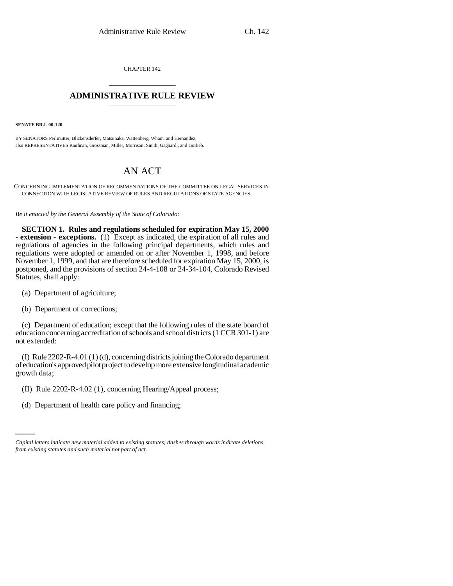CHAPTER 142 \_\_\_\_\_\_\_\_\_\_\_\_\_\_\_

## **ADMINISTRATIVE RULE REVIEW** \_\_\_\_\_\_\_\_\_\_\_\_\_\_\_

**SENATE BILL 00-120** 

BY SENATORS Perlmutter, Blickensderfer, Matsunaka, Wattenberg, Wham, and Hernandez; also REPRESENTATIVES Kaufman, Grossman, Miller, Morrison, Smith, Gagliardi, and Gotlieb.

## AN ACT

CONCERNING IMPLEMENTATION OF RECOMMENDATIONS OF THE COMMITTEE ON LEGAL SERVICES IN CONNECTION WITH LEGISLATIVE REVIEW OF RULES AND REGULATIONS OF STATE AGENCIES.

*Be it enacted by the General Assembly of the State of Colorado:*

**SECTION 1. Rules and regulations scheduled for expiration May 15, 2000 - extension - exceptions.** (1) Except as indicated, the expiration of all rules and regulations of agencies in the following principal departments, which rules and regulations were adopted or amended on or after November 1, 1998, and before November 1, 1999, and that are therefore scheduled for expiration May 15, 2000, is postponed, and the provisions of section 24-4-108 or 24-34-104, Colorado Revised Statutes, shall apply:

- (a) Department of agriculture;
- (b) Department of corrections;

(c) Department of education; except that the following rules of the state board of education concerning accreditation of schools and school districts (1 CCR 301-1) are not extended:

(I) Rule 2202-R-4.01 (1) (d), concerning districts joining the Colorado department of education's approved pilot project to develop more extensive longitudinal academic growth data;

- $\mathcal{L}$ (II) Rule 2202-R-4.02 (1), concerning Hearing/Appeal process;
	- (d) Department of health care policy and financing;

*Capital letters indicate new material added to existing statutes; dashes through words indicate deletions from existing statutes and such material not part of act.*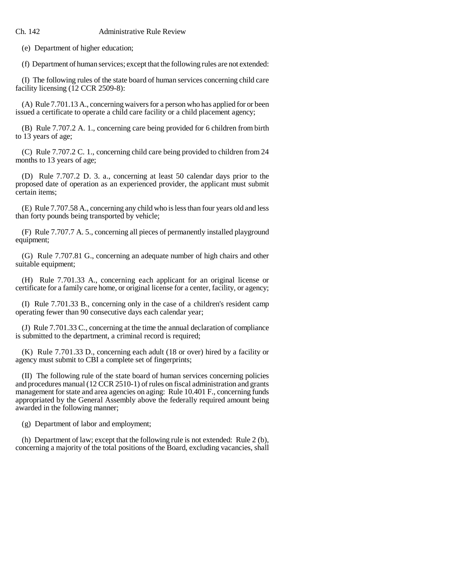## Ch. 142 Administrative Rule Review

(e) Department of higher education;

(f) Department of human services; except that the following rules are not extended:

(I) The following rules of the state board of human services concerning child care facility licensing (12 CCR 2509-8):

(A) Rule 7.701.13 A., concerning waivers for a person who has applied for or been issued a certificate to operate a child care facility or a child placement agency;

(B) Rule 7.707.2 A. 1., concerning care being provided for 6 children from birth to 13 years of age;

(C) Rule 7.707.2 C. 1., concerning child care being provided to children from 24 months to 13 years of age;

(D) Rule 7.707.2 D. 3. a., concerning at least 50 calendar days prior to the proposed date of operation as an experienced provider, the applicant must submit certain items;

(E) Rule 7.707.58 A., concerning any child who is less than four years old and less than forty pounds being transported by vehicle;

(F) Rule 7.707.7 A. 5., concerning all pieces of permanently installed playground equipment;

(G) Rule 7.707.81 G., concerning an adequate number of high chairs and other suitable equipment;

(H) Rule 7.701.33 A., concerning each applicant for an original license or certificate for a family care home, or original license for a center, facility, or agency;

(I) Rule 7.701.33 B., concerning only in the case of a children's resident camp operating fewer than 90 consecutive days each calendar year;

(J) Rule 7.701.33 C., concerning at the time the annual declaration of compliance is submitted to the department, a criminal record is required;

(K) Rule 7.701.33 D., concerning each adult (18 or over) hired by a facility or agency must submit to CBI a complete set of fingerprints;

(II) The following rule of the state board of human services concerning policies and procedures manual (12 CCR 2510-1) of rules on fiscal administration and grants management for state and area agencies on aging: Rule 10.401 F., concerning funds appropriated by the General Assembly above the federally required amount being awarded in the following manner;

(g) Department of labor and employment;

(h) Department of law; except that the following rule is not extended: Rule 2 (b), concerning a majority of the total positions of the Board, excluding vacancies, shall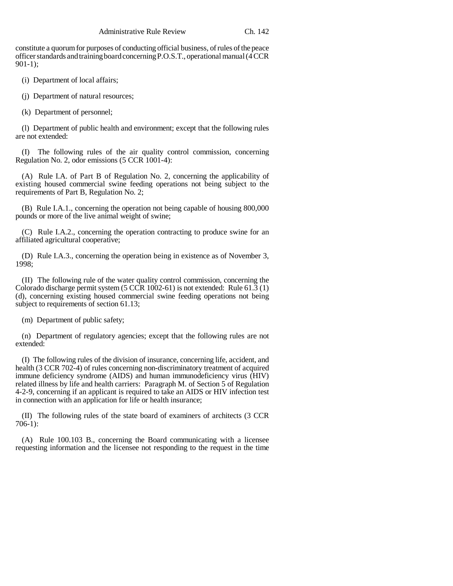constitute a quorum for purposes of conducting official business, of rules of the peace officer standards and training board concerning P.O.S.T., operational manual (4 CCR 901-1);

(i) Department of local affairs;

(j) Department of natural resources;

(k) Department of personnel;

(l) Department of public health and environment; except that the following rules are not extended:

(I) The following rules of the air quality control commission, concerning Regulation No. 2, odor emissions (5 CCR 1001-4):

(A) Rule I.A. of Part B of Regulation No. 2, concerning the applicability of existing housed commercial swine feeding operations not being subject to the requirements of Part B, Regulation No. 2;

(B) Rule I.A.1., concerning the operation not being capable of housing 800,000 pounds or more of the live animal weight of swine;

(C) Rule I.A.2., concerning the operation contracting to produce swine for an affiliated agricultural cooperative;

(D) Rule I.A.3., concerning the operation being in existence as of November 3, 1998;

(II) The following rule of the water quality control commission, concerning the Colorado discharge permit system (5 CCR 1002-61) is not extended: Rule 61.3 (1) (d), concerning existing housed commercial swine feeding operations not being subject to requirements of section 61.13;

(m) Department of public safety;

(n) Department of regulatory agencies; except that the following rules are not extended:

(I) The following rules of the division of insurance, concerning life, accident, and health (3 CCR 702-4) of rules concerning non-discriminatory treatment of acquired immune deficiency syndrome (AIDS) and human immunodeficiency virus (HIV) related illness by life and health carriers: Paragraph M. of Section 5 of Regulation 4-2-9, concerning if an applicant is required to take an AIDS or HIV infection test in connection with an application for life or health insurance;

(II) The following rules of the state board of examiners of architects (3 CCR 706-1):

(A) Rule 100.103 B., concerning the Board communicating with a licensee requesting information and the licensee not responding to the request in the time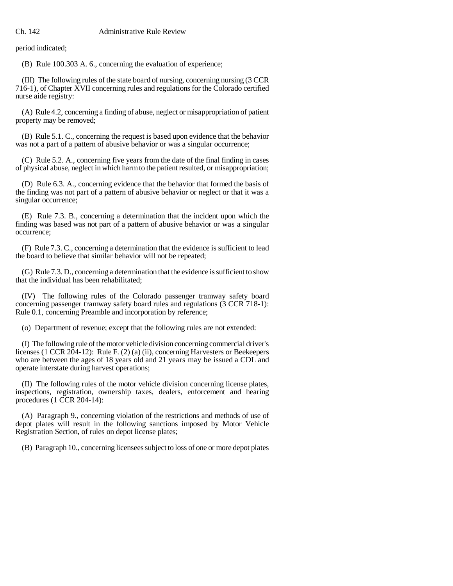period indicated;

(B) Rule 100.303 A. 6., concerning the evaluation of experience;

(III) The following rules of the state board of nursing, concerning nursing (3 CCR 716-1), of Chapter XVII concerning rules and regulations for the Colorado certified nurse aide registry:

(A) Rule 4.2, concerning a finding of abuse, neglect or misappropriation of patient property may be removed;

(B) Rule 5.1. C., concerning the request is based upon evidence that the behavior was not a part of a pattern of abusive behavior or was a singular occurrence;

(C) Rule 5.2. A., concerning five years from the date of the final finding in cases of physical abuse, neglect in which harm to the patient resulted, or misappropriation;

(D) Rule 6.3. A., concerning evidence that the behavior that formed the basis of the finding was not part of a pattern of abusive behavior or neglect or that it was a singular occurrence;

(E) Rule 7.3. B., concerning a determination that the incident upon which the finding was based was not part of a pattern of abusive behavior or was a singular occurrence;

(F) Rule 7.3. C., concerning a determination that the evidence is sufficient to lead the board to believe that similar behavior will not be repeated;

(G) Rule 7.3. D., concerning a determination that the evidence is sufficient to show that the individual has been rehabilitated;

(IV) The following rules of the Colorado passenger tramway safety board concerning passenger tramway safety board rules and regulations (3 CCR 718-1): Rule 0.1, concerning Preamble and incorporation by reference;

(o) Department of revenue; except that the following rules are not extended:

(I) The following rule of the motor vehicle division concerning commercial driver's licenses (1 CCR 204-12): Rule F. (2) (a) (ii), concerning Harvesters or Beekeepers who are between the ages of 18 years old and 21 years may be issued a CDL and operate interstate during harvest operations;

(II) The following rules of the motor vehicle division concerning license plates, inspections, registration, ownership taxes, dealers, enforcement and hearing procedures (1 CCR 204-14):

(A) Paragraph 9., concerning violation of the restrictions and methods of use of depot plates will result in the following sanctions imposed by Motor Vehicle Registration Section, of rules on depot license plates;

(B) Paragraph 10., concerning licensees subject to loss of one or more depot plates